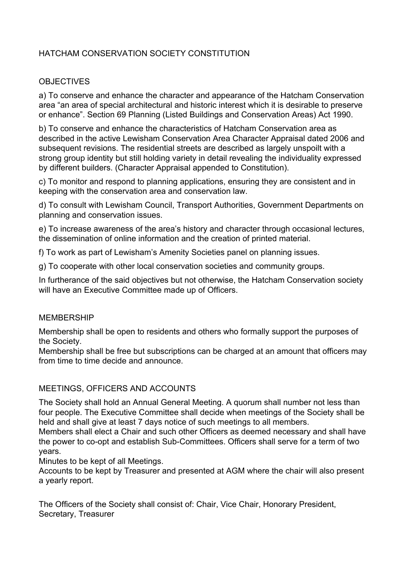# HATCHAM CONSERVATION SOCIETY CONSTITUTION

## **OBJECTIVES**

a) To conserve and enhance the character and appearance of the Hatcham Conservation area "an area of special architectural and historic interest which it is desirable to preserve or enhance". Section 69 Planning (Listed Buildings and Conservation Areas) Act 1990.

b) To conserve and enhance the characteristics of Hatcham Conservation area as described in the active Lewisham Conservation Area Character Appraisal dated 2006 and subsequent revisions. The residential streets are described as largely unspoilt with a strong group identity but still holding variety in detail revealing the individuality expressed by different builders. (Character Appraisal appended to Constitution).

c) To monitor and respond to planning applications, ensuring they are consistent and in keeping with the conservation area and conservation law.

d) To consult with Lewisham Council, Transport Authorities, Government Departments on planning and conservation issues.

e) To increase awareness of the area's history and character through occasional lectures, the dissemination of online information and the creation of printed material.

f) To work as part of Lewisham's Amenity Societies panel on planning issues.

g) To cooperate with other local conservation societies and community groups.

In furtherance of the said objectives but not otherwise, the Hatcham Conservation society will have an Executive Committee made up of Officers.

#### MEMBERSHIP

Membership shall be open to residents and others who formally support the purposes of the Society.

Membership shall be free but subscriptions can be charged at an amount that officers may from time to time decide and announce.

#### MEETINGS, OFFICERS AND ACCOUNTS

The Society shall hold an Annual General Meeting. A quorum shall number not less than four people. The Executive Committee shall decide when meetings of the Society shall be held and shall give at least 7 days notice of such meetings to all members.

Members shall elect a Chair and such other Officers as deemed necessary and shall have the power to co-opt and establish Sub-Committees. Officers shall serve for a term of two years.

Minutes to be kept of all Meetings.

Accounts to be kept by Treasurer and presented at AGM where the chair will also present a yearly report.

The Officers of the Society shall consist of: Chair, Vice Chair, Honorary President, Secretary, Treasurer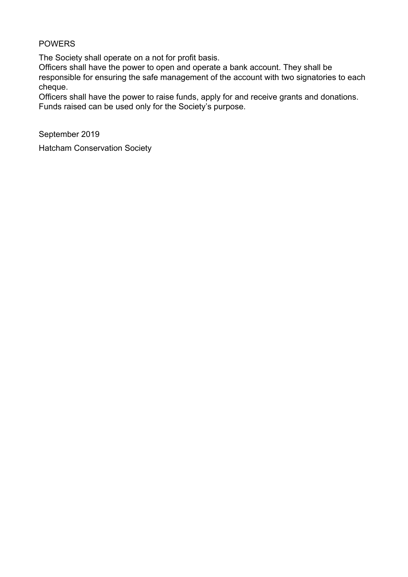## **POWERS**

The Society shall operate on a not for profit basis.

Officers shall have the power to open and operate a bank account. They shall be responsible for ensuring the safe management of the account with two signatories to each cheque.

Officers shall have the power to raise funds, apply for and receive grants and donations. Funds raised can be used only for the Society's purpose.

September 2019

Hatcham Conservation Society